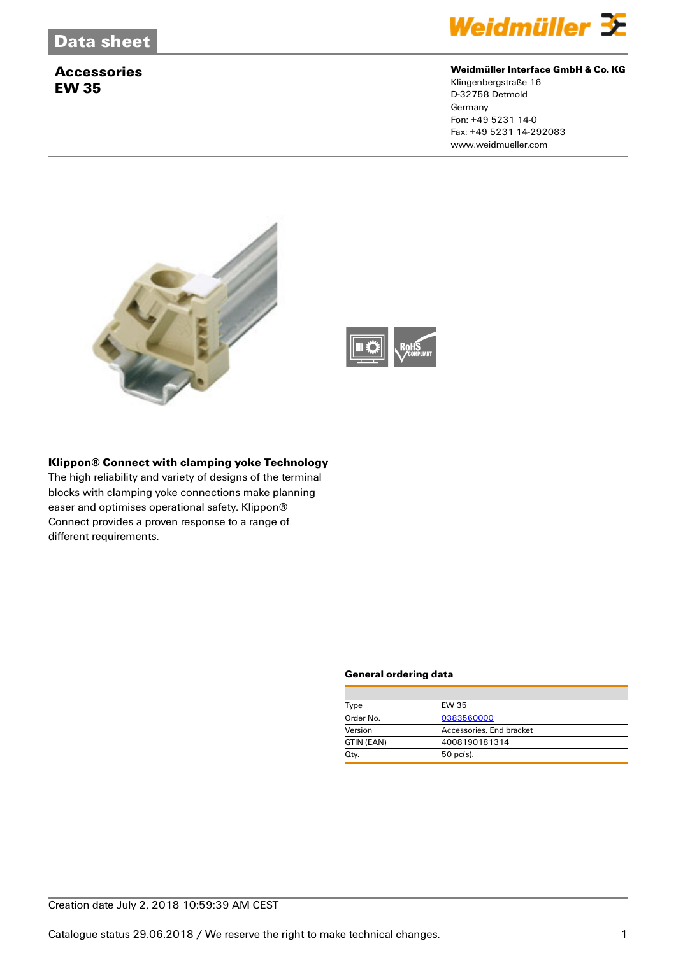# **Accessories EW 35**



### **Weidmüller Interface GmbH & Co. KG**

Klingenbergstraße 16 D-32758 Detmold **Germany** Fon: +49 5231 14-0 Fax: +49 5231 14-292083 www.weidmueller.com





## **Klippon® Connect with clamping yoke Technology**

The high reliability and variety of designs of the terminal blocks with clamping yoke connections make planning easer and optimises operational safety. Klippon® Connect provides a proven response to a range of different requirements.

#### **General ordering data**

| Type       | EW 35                    |  |
|------------|--------------------------|--|
| Order No.  | 0383560000               |  |
| Version    | Accessories, End bracket |  |
| GTIN (EAN) | 4008190181314            |  |
| Qty.       | $50$ pc(s).              |  |